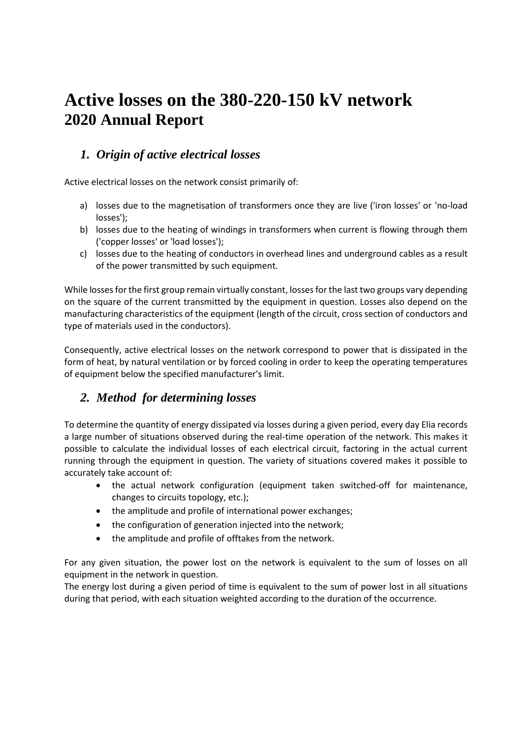# **Active losses on the 380-220-150 kV network 2020 Annual Report**

### *1. Origin of active electrical losses*

Active electrical losses on the network consist primarily of:

- a) losses due to the magnetisation of transformers once they are live ('iron losses' or 'no-load losses');
- b) losses due to the heating of windings in transformers when current is flowing through them ('copper losses' or 'load losses');
- c) losses due to the heating of conductors in overhead lines and underground cables as a result of the power transmitted by such equipment.

While losses for the first group remain virtually constant, losses for the last two groups vary depending on the square of the current transmitted by the equipment in question. Losses also depend on the manufacturing characteristics of the equipment (length of the circuit, cross section of conductors and type of materials used in the conductors).

Consequently, active electrical losses on the network correspond to power that is dissipated in the form of heat, by natural ventilation or by forced cooling in order to keep the operating temperatures of equipment below the specified manufacturer's limit.

# *2. Method for determining losses*

To determine the quantity of energy dissipated via losses during a given period, every day Elia records a large number of situations observed during the real-time operation of the network. This makes it possible to calculate the individual losses of each electrical circuit, factoring in the actual current running through the equipment in question. The variety of situations covered makes it possible to accurately take account of:

- the actual network configuration (equipment taken switched-off for maintenance, changes to circuits topology, etc.);
- the amplitude and profile of international power exchanges;
- the configuration of generation injected into the network;
- the amplitude and profile of offtakes from the network.

For any given situation, the power lost on the network is equivalent to the sum of losses on all equipment in the network in question.

The energy lost during a given period of time is equivalent to the sum of power lost in all situations during that period, with each situation weighted according to the duration of the occurrence.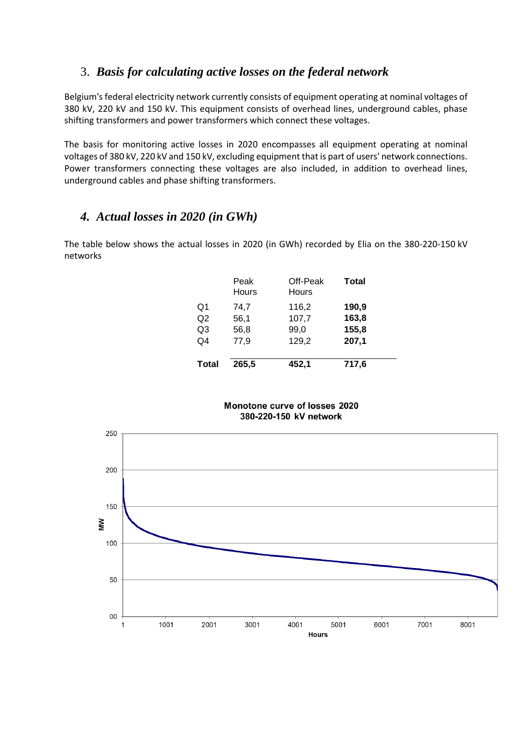#### 3. *Basis for calculating active losses on the federal network*

Belgium's federal electricity network currently consists of equipment operating at nominal voltages of 380 kV, 220 kV and 150 kV. This equipment consists of overhead lines, underground cables, phase shifting transformers and power transformers which connect these voltages.

The basis for monitoring active losses in 2020 encompasses all equipment operating at nominal voltages of 380 kV, 220 kV and 150 kV, excluding equipment that is part of users' network connections. Power transformers connecting these voltages are also included, in addition to overhead lines, underground cables and phase shifting transformers.

## *4. Actual losses in 2020 (in GWh)*

The table below shows the actual losses in 2020 (in GWh) recorded by Elia on the 380-220-150 kV networks

|                | Peak<br>Hours | Off-Peak<br>Hours | <b>Total</b> |
|----------------|---------------|-------------------|--------------|
| Q1             | 74,7          | 116,2             | 190,9        |
| Q <sub>2</sub> | 56,1          | 107,7             | 163,8        |
| Q3             | 56,8          | 99,0              | 155,8        |
| Q4             | 77,9          | 129,2             | 207,1        |
| <b>Total</b>   | 265,5         | 452,1             | 717,6        |

Monotone curve of losses 2020 380-220-150 kV network

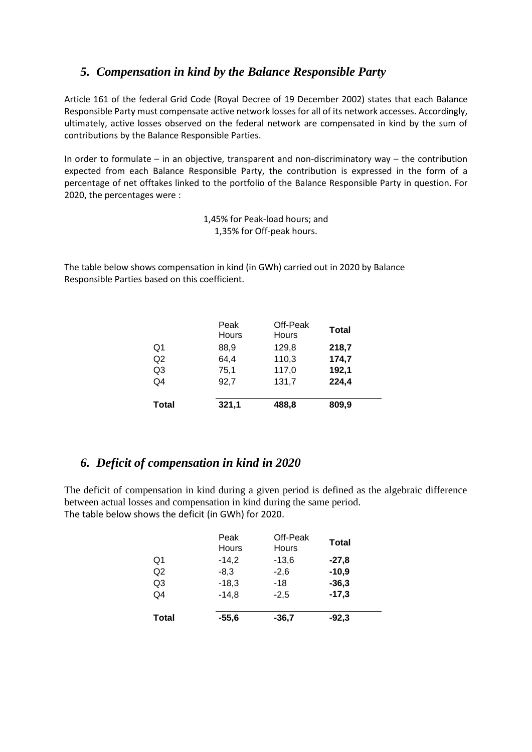#### *5. Compensation in kind by the Balance Responsible Party*

Article 161 of the federal Grid Code (Royal Decree of 19 December 2002) states that each Balance Responsible Party must compensate active network losses for all of its network accesses. Accordingly, ultimately, active losses observed on the federal network are compensated in kind by the sum of contributions by the Balance Responsible Parties.

In order to formulate – in an objective, transparent and non-discriminatory way – the contribution expected from each Balance Responsible Party, the contribution is expressed in the form of a percentage of net offtakes linked to the portfolio of the Balance Responsible Party in question. For 2020, the percentages were :

> 1,45% for Peak-load hours; and 1,35% for Off-peak hours.

The table below shows compensation in kind (in GWh) carried out in 2020 by Balance Responsible Parties based on this coefficient.

|                | Peak<br>Hours | Off-Peak<br>Hours | <b>Total</b> |
|----------------|---------------|-------------------|--------------|
| Q1             | 88.9          | 129,8             | 218,7        |
| Q2             | 64,4          | 110,3             | 174,7        |
| Q <sub>3</sub> | 75,1          | 117,0             | 192,1        |
| Q4             | 92,7          | 131,7             | 224,4        |
| <b>Total</b>   | 321,1         | 488,8             | 809,9        |

#### *6. Deficit of compensation in kind in 2020*

The deficit of compensation in kind during a given period is defined as the algebraic difference between actual losses and compensation in kind during the same period. The table below shows the deficit (in GWh) for 2020.

|                | Peak<br>Hours | Off-Peak<br>Hours | <b>Total</b> |
|----------------|---------------|-------------------|--------------|
| Q1             | $-14.2$       | $-13.6$           | $-27.8$      |
| Q2             | $-8.3$        | $-2,6$            | $-10,9$      |
| Q <sub>3</sub> | $-18,3$       | $-18$             | $-36,3$      |
| Q4             | $-14,8$       | $-2,5$            | $-17,3$      |
| <b>Total</b>   | $-55,6$       | -36.7             | $-92,3$      |